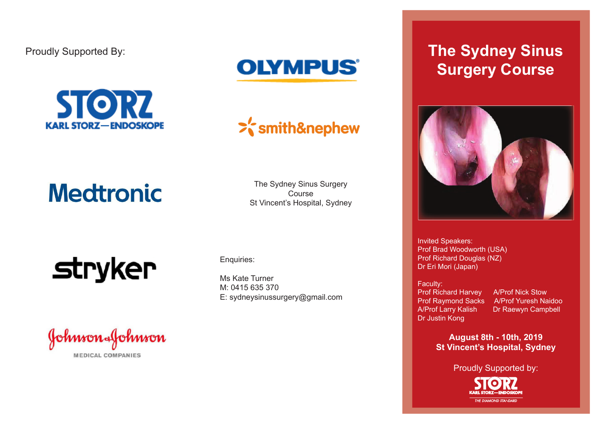Proudly Supported By:



## **OLYMPUS®**

# >'s mith&nephew

**Medtronic** 

The Sydney Sinus Surgery Course St Vincent's Hospital, Sydney

**stryker** 

Johnson Johnson **MEDICAL COMPANIES** 

Enquiries:

Ms Kate Turner M: 0415 635 370 E: sydneysinussurgery@gmail.com

### **The Sydney Sinus Surgery Course**



Invited Speakers: Prof Brad Woodworth (USA) Prof Richard Douglas (NZ) Dr Eri Mori (Japan)

Faculty: Prof Richard Harvey A/Prof Nick Stow<br>Prof Raymond Sacks A/Prof Yuresh Naidoo Prof Raymond Sacks<br>A/Prof Larry Kalish Dr Justin Kong

Dr Raewyn Campbell

**August 8th - 10th, 2019 St Vincent's Hospital, Sydney** 

Proudly Supported by: